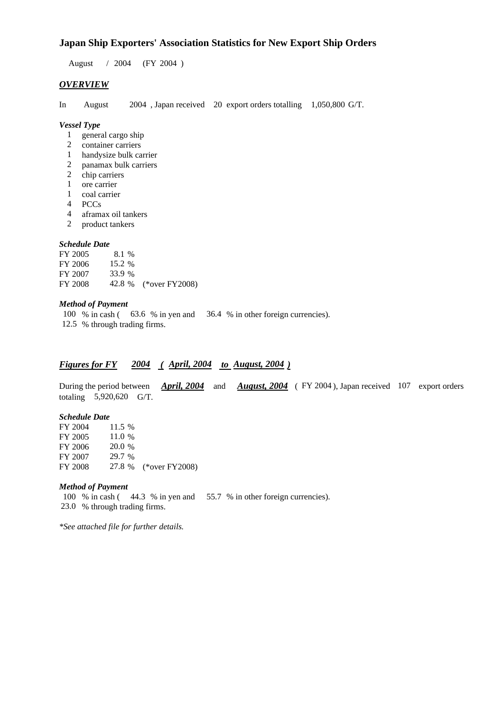### **Japan Ship Exporters' Association Statistics for New Export Ship Orders**

August / 2004 (FY 2004 )

#### *OVERVIEW*

In August 2004 , Japan received 20 export orders totalling 1,050,800 G/T.

#### *Vessel Type*

- 1 general cargo ship
- 2 container carriers
- 1 handysize bulk carrier
- 2 panamax bulk carriers<br>2 chip carriers
- 2 chip carriers<br>1 ore carrier
- ore carrier
- 1 coal carrier
- 4 PCCs
- 4 aframax oil tankers
- 2 product tankers

#### *Schedule Date*

| FY 2005 | 8.1 %    |                       |
|---------|----------|-----------------------|
| FY 2006 | 15.2 $%$ |                       |
| FY 2007 | 33.9 %   |                       |
| FY 2008 |          | 42.8 % (*over FY2008) |

#### *Method of Payment*

100 % in cash ( 63.6 % in yen and 36.4 % in other foreign currencies). 12.5 % through trading firms.

### *Figures for FY 2004 ( April, 2004 to August, 2004 )*

During the period between *April, 2004* and *August, 2004* (FY 2004), Japan received 107 export orders totaling 5,920,620 G/T.

#### *Schedule Date*

| FY 2004 | 11.5 % |                       |
|---------|--------|-----------------------|
| FY 2005 | 11.0 % |                       |
| FY 2006 | 20.0 % |                       |
| FY 2007 | 29.7 % |                       |
| FY 2008 |        | 27.8 % (*over FY2008) |
|         |        |                       |

#### *Method of Payment*

100 % in cash ( 44.3 % in yen and 55.7 % in other foreign currencies). 23.0 % through trading firms.

*\*See attached file for further details.*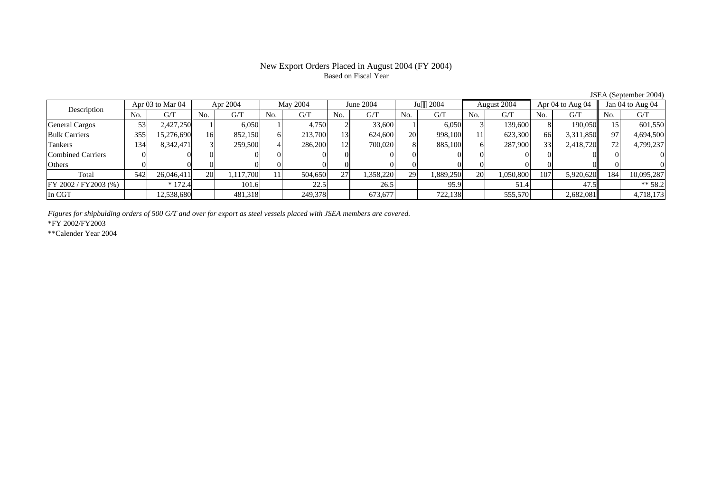## Based on Fiscal Year

Description Apr 03 to Mar 04 Apr 2004 May 2004 June 2004 Ju 2004 August 2004 Apr 04 to Aug 04 Jan 04 to Aug 04 No. $No.$   $G/T$ T || No. | G/T || No. | G/T || No. | G/T || No. | G/T || G/T || No. | G/T || No. | G/T || No. | G/T General Cargos ( 53 2,427,250 1 6,050 1 4,750 2 33,600 1 6,050 3 139,600 8 190,050 15 601,550 Bulk Carriers 3555| 15,276,690|| 16| 852,150| 6| 213,700| 13| 624,600| 20| 998,100| 11| 623,300| 66| 3,311,850|| 97| 4,694,500 Tankers 1344| 8,342,471|| 3| 259,500| 4| 286,200| 12| 700,020| 8| 885,100| 6| 287,900| 33| 2,418,720|| 72| 4,799,237 Combined Carriers 1 0 0 0 0 0 0 0 0 0 0 0 0 0 0 0 0 **Others** s and  $\vert 0$  0 0 0 0 0 0 0 0 0 0 0 0 0 0 0 Total 5422| 26,046,411|| 20| 1,117,700| 11| 504,650| 27| 1,358,220| 29| 1,889,250| 20| 1,050,800| 107| 5,920,620|| 184| 10,095,287  $\boxed{\text{FY 2002/FY2003 } (\%) }$  \* 172.4 101.6 22.5 26.5 56.9 51.4 51.4 47.5 \* 58.2 In CGT12,538,680 | 12,538,680 | 481,318 | 249,378 | 573,677 | 722,138 | 555,570 | 2,682,081 | 2,583,080 |

*Figures for shipbulding orders of 500 G/T and over for export as steel vessels placed with JSEA members are covered.*

\*FY 2002/FY2003

\*\*Calender Year 2004

JSEA (September 2004)

# New Export Orders Placed in August 2004 (FY 2004)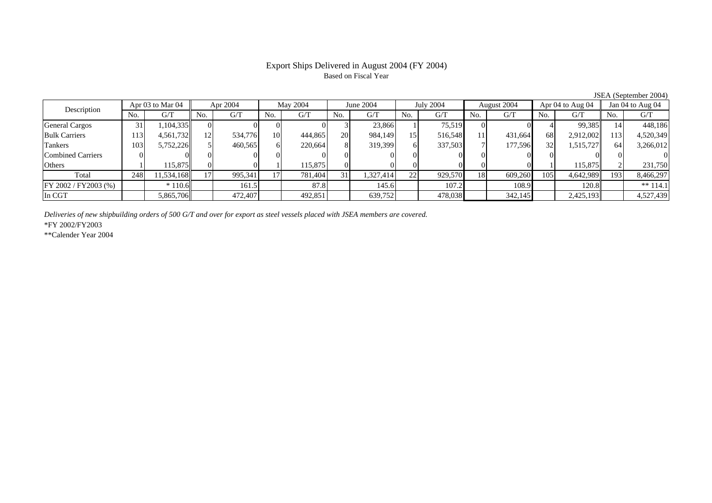### Based on Fiscal Year

Description Apr 03 to Mar 04 Apr 2004 May 2004 June 2004 July 2004 August 2004 Apr 04 to Aug 04 Jan 04 to Aug 04 No.No.  $G/T$ T || No. | G/T || No. | G/T || No. | G/T || No. | G/T || G/T || No. | G/T || No. | G/T || No. | G/T General Cargos ( 31 | 1,104,335 || 0 || 0 || 0 || 0 || 23,866 || 1 || 75,519 || 0 || 0 || 0 || 4 99,385 || 14 448,186 Bulk Carriers 113 4,561,732 12 534,776 10 444,865 20 984,149 15 516,548 11 431,664 68 2,912,002 113 4,520,349 Tankers 1033| 5,752,226|| 5| 460,565| 6| 220,664| 8| 319,399| 6| 337,503| 7| 177,596| 32| 1,515,727|| 64| 3,266,012 Combined Carriers 0 0 0 0 0 0 0 0 0 0 0 0 0 0 0 0 **Others** s and  $1$ 1 115,875 0 0 1 115,875 0 0 0 0 0 0 1 115,875 2 231,750 Total 2488| 11,534,168|| 17| 995,341| 17| 781,404| 31| 1,327,414| 22| 929,570| 18| 609,260| 105| 4,642,989|| 193| 8,466,297 FY 2002 / FY 2003 (%) \* 110.6 161.5 161.5 87.8 145.6 161.5 107.2 108.9 108.9 120.8 \*\* 114.1 In CGT5,865,706 472,407 492,851 639,752 478,038 342,145 2,425,193 4,527,439

*Deliveries of new shipbuilding orders of 500 G/T and over for export as steel vessels placed with JSEA members are covered.*

\*FY 2002/FY2003

\*\*Calender Year 2004

JSEA (September 2004)

# Export Ships Delivered in August 2004 (FY 2004)